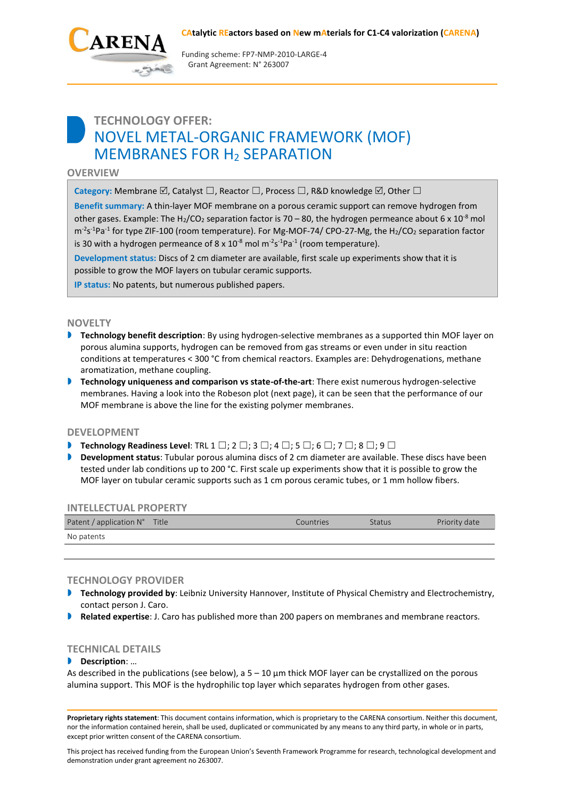#### **CAtalytic REactors based on New mAterials for C1-C4 valorization (CARENA)**



Funding scheme: FP7‐NMP‐2010‐LARGE‐4 Grant Agreement: N° 263007

# **TECHNOLOGY OFFER:** NOVEL METAL-ORGANIC FRAMEWORK (MOF) MEMBRANES FOR H<sub>2</sub> SEPARATION

## **OVERVIEW**

**Category:** Membrane  $\boxtimes$ , Catalyst  $\square$ , Reactor  $\square$ , Process  $\square$ , R&D knowledge  $\boxtimes$ , Other  $\square$ 

**Benefit summary:** A thin-layer MOF membrane on a porous ceramic support can remove hydrogen from other gases. Example: The H<sub>2</sub>/CO<sub>2</sub> separation factor is 70 – 80, the hydrogen permeance about 6 x 10<sup>-8</sup> mol m<sup>-2</sup>s<sup>-1</sup>Pa<sup>-1</sup> for type ZIF-100 (room temperature). For Mg-MOF-74/ CPO-27-Mg, the H<sub>2</sub>/CO<sub>2</sub> separation factor is 30 with a hydrogen permeance of 8 x  $10^{-8}$  mol m<sup>-2</sup>s<sup>-1</sup>Pa<sup>-1</sup> (room temperature).

**Development status:** Discs of 2 cm diameter are available, first scale up experiments show that it is possible to grow the MOF layers on tubular ceramic supports.

**IP status:** No patents, but numerous published papers.

## **NOVELTY**

- **Technology benefit description**: By using hydrogen-selective membranes as a supported thin MOF layer on porous alumina supports, hydrogen can be removed from gas streams or even under in situ reaction conditions at temperatures < 300 °C from chemical reactors. Examples are: Dehydrogenations, methane aromatization, methane coupling.
- **Technology uniqueness and comparison vs state-of-the-art**: There exist numerous hydrogen-selective membranes. Having a look into the Robeson plot (next page), it can be seen that the performance of our MOF membrane is above the line for the existing polymer membranes.

#### **DEVELOPMENT**

- **Technology Readiness Level**: TRL 1 ☐; 2 ☐; 3 ☐; 4 ☐; 5 ☐; 6 ☐; 7 ☐; 8 ☐; 9 ☐
- **Development status**: Tubular porous alumina discs of 2 cm diameter are available. These discs have been tested under lab conditions up to 200 °C. First scale up experiments show that it is possible to grow the MOF layer on tubular ceramic supports such as 1 cm porous ceramic tubes, or 1 mm hollow fibers.

#### **INTELLECTUAL PROPERTY**

| Patent / application N° | Title | Countries | <b>Status</b> | Priority date |
|-------------------------|-------|-----------|---------------|---------------|
| No patents              |       |           |               |               |

#### **TECHNOLOGY PROVIDER**

- **Technology provided by**: Leibniz University Hannover, Institute of Physical Chemistry and Electrochemistry, contact person J. Caro.
- **Related expertise**: J. Caro has published more than 200 papers on membranes and membrane reactors.

## **TECHNICAL DETAILS**

#### **Description:** ...

As described in the publications (see below), a  $5 - 10 \mu m$  thick MOF layer can be crystallized on the porous alumina support. This MOF is the hydrophilic top layer which separates hydrogen from other gases.

**Proprietary rights statement**: This document contains information, which is proprietary to the CARENA consortium. Neither this document, nor the information contained herein, shall be used, duplicated or communicated by any means to any third party, in whole or in parts, except prior written consent of the CARENA consortium.

This project has received funding from the European Union's Seventh Framework Programme for research, technological development and demonstration under grant agreement no 263007.